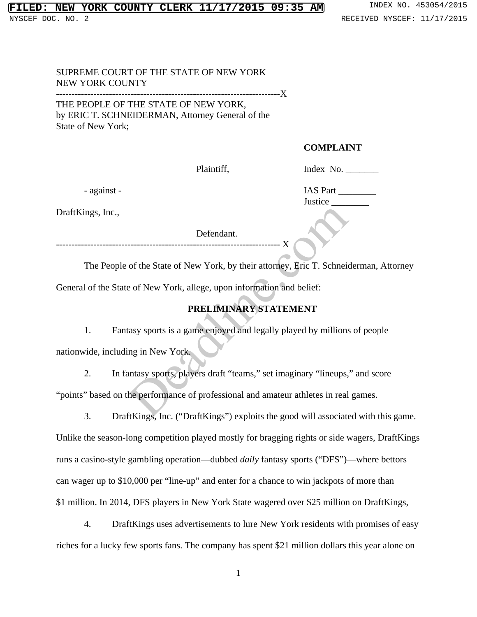## SUPREME COURT OF THE STATE OF NEW YORK NEW YORK COUNTY ------------------------------------------------------------------------X

THE PEOPLE OF THE STATE OF NEW YORK, by ERIC T. SCHNEIDERMAN, Attorney General of the State of New York;

## **COMPLAINT**

Plaintiff, Index No. \_\_\_\_\_\_\_\_\_\_\_

DraftKings, Inc.,

Defendant.

------------------------------------------------------------------------ X

The People of the State of New York, by their attorney, Eric T. Schneiderman, Attorney General of the State of New York, allege, upon information and belief:

# **PRELIMINARY STATEMENT**

1. Fantasy sports is a game enjoyed and legally played by millions of people nationwide, including in New York.

2. In fantasy sports, players draft "teams," set imaginary "lineups," and score "points" based on the performance of professional and amateur athletes in real games. Defendant.<br>
Sof the State of New York, by their attorney, Eric T. Schnein<br>
Defendant.<br>
Sof the State of New York, allege, upon information and belief:<br> **PRELIMINARY STATEMENT**<br>
The State of New York.<br>
The State of Professi

3. DraftKings, Inc. ("DraftKings") exploits the good will associated with this game. Unlike the season-long competition played mostly for bragging rights or side wagers, DraftKings runs a casino-style gambling operation—dubbed *daily* fantasy sports ("DFS")—where bettors can wager up to \$10,000 per "line-up" and enter for a chance to win jackpots of more than \$1 million. In 2014, DFS players in New York State wagered over \$25 million on DraftKings,

4. DraftKings uses advertisements to lure New York residents with promises of easy riches for a lucky few sports fans. The company has spent \$21 million dollars this year alone on

1

 - against - IAS Part \_\_\_\_\_\_\_\_ Justice \_\_\_\_\_\_\_\_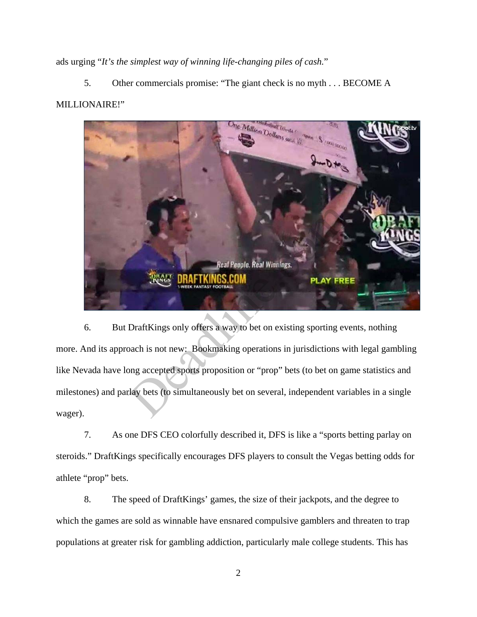ads urging "*It's the simplest way of winning life-changing piles of cash.*"

5. Other commercials promise: "The giant check is no myth . . . BECOME A MILLIONAIRE!"



6. But DraftKings only offers a way to bet on existing sporting events, nothing more. And its approach is not new: Bookmaking operations in jurisdictions with legal gambling like Nevada have long accepted sports proposition or "prop" bets (to bet on game statistics and milestones) and parlay bets (to simultaneously bet on several, independent variables in a single wager).

7. As one DFS CEO colorfully described it, DFS is like a "sports betting parlay on steroids." DraftKings specifically encourages DFS players to consult the Vegas betting odds for athlete "prop" bets.

8. The speed of DraftKings' games, the size of their jackpots, and the degree to which the games are sold as winnable have ensnared compulsive gamblers and threaten to trap populations at greater risk for gambling addiction, particularly male college students. This has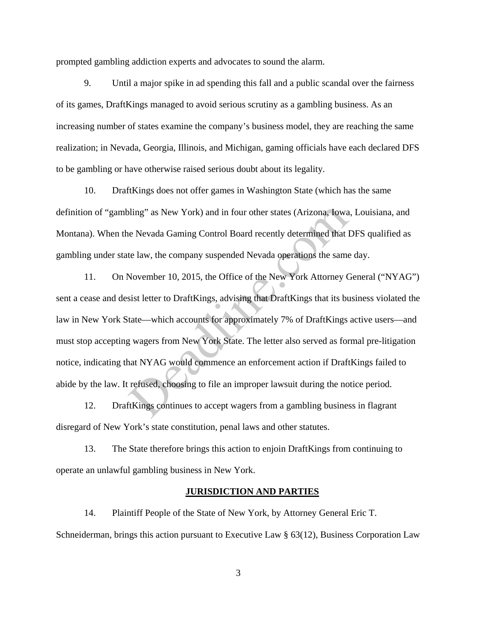prompted gambling addiction experts and advocates to sound the alarm.

9. Until a major spike in ad spending this fall and a public scandal over the fairness of its games, DraftKings managed to avoid serious scrutiny as a gambling business. As an increasing number of states examine the company's business model, they are reaching the same realization; in Nevada, Georgia, Illinois, and Michigan, gaming officials have each declared DFS to be gambling or have otherwise raised serious doubt about its legality.

10. DraftKings does not offer games in Washington State (which has the same definition of "gambling" as New York) and in four other states (Arizona, Iowa, Louisiana, and Montana). When the Nevada Gaming Control Board recently determined that DFS qualified as gambling under state law, the company suspended Nevada operations the same day.

11. On November 10, 2015, the Office of the New York Attorney General ("NYAG") sent a cease and desist letter to DraftKings, advising that DraftKings that its business violated the law in New York State—which accounts for approximately 7% of DraftKings active users—and must stop accepting wagers from New York State. The letter also served as formal pre-litigation notice, indicating that NYAG would commence an enforcement action if DraftKings failed to abide by the law. It refused, choosing to file an improper lawsuit during the notice period. bling" as New York) and in four other states (Arizona, Iowa<br>
e Nevada Gaming Control Board recently determined that<br>
te law, the company suspended Nevada operations the same<br>
November 10, 2015, the Office of the New York A

12. DraftKings continues to accept wagers from a gambling business in flagrant disregard of New York's state constitution, penal laws and other statutes.

13. The State therefore brings this action to enjoin DraftKings from continuing to operate an unlawful gambling business in New York.

### **JURISDICTION AND PARTIES**

14. Plaintiff People of the State of New York, by Attorney General Eric T. Schneiderman, brings this action pursuant to Executive Law § 63(12), Business Corporation Law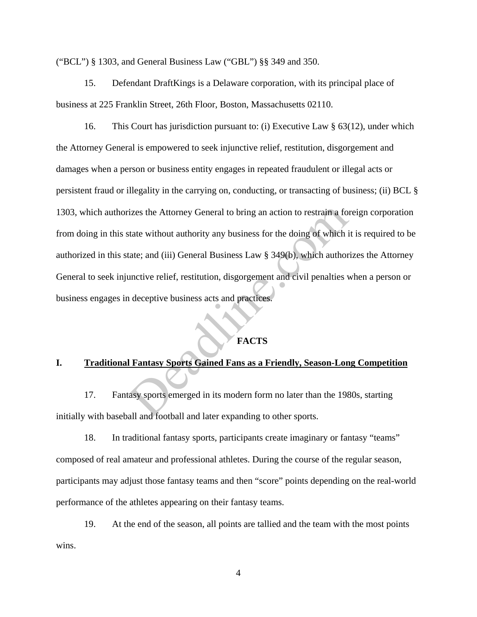("BCL") § 1303, and General Business Law ("GBL") §§ 349 and 350.

15. Defendant DraftKings is a Delaware corporation, with its principal place of business at 225 Franklin Street, 26th Floor, Boston, Massachusetts 02110.

16. This Court has jurisdiction pursuant to: (i) Executive Law § 63(12), under which the Attorney General is empowered to seek injunctive relief, restitution, disgorgement and damages when a person or business entity engages in repeated fraudulent or illegal acts or persistent fraud or illegality in the carrying on, conducting, or transacting of business; (ii) BCL § 1303, which authorizes the Attorney General to bring an action to restrain a foreign corporation from doing in this state without authority any business for the doing of which it is required to be authorized in this state; and (iii) General Business Law § 349(b), which authorizes the Attorney General to seek injunctive relief, restitution, disgorgement and civil penalties when a person or business engages in deceptive business acts and practices. izes the Attorney General to bring an action to restrain a for<br>tate without authority any business for the doing of which i<br>tate; and (iii) General Business Law § 349(b), which author<br>unctive relief, restitution, disgorgem

## **FACTS**

## **I. Traditional Fantasy Sports Gained Fans as a Friendly, Season-Long Competition**

17. Fantasy sports emerged in its modern form no later than the 1980s, starting initially with baseball and football and later expanding to other sports.

18. In traditional fantasy sports, participants create imaginary or fantasy "teams" composed of real amateur and professional athletes. During the course of the regular season, participants may adjust those fantasy teams and then "score" points depending on the real-world performance of the athletes appearing on their fantasy teams.

19. At the end of the season, all points are tallied and the team with the most points wins.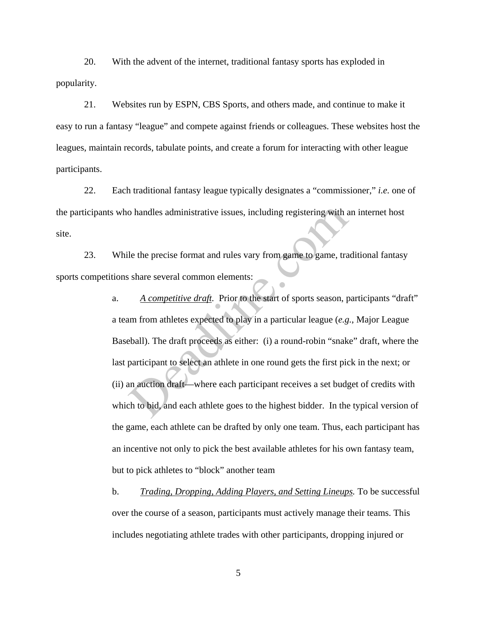20. With the advent of the internet, traditional fantasy sports has exploded in popularity.

21. Websites run by ESPN, CBS Sports, and others made, and continue to make it easy to run a fantasy "league" and compete against friends or colleagues. These websites host the leagues, maintain records, tabulate points, and create a forum for interacting with other league participants.

22. Each traditional fantasy league typically designates a "commissioner," *i.e.* one of the participants who handles administrative issues, including registering with an internet host site.

23. While the precise format and rules vary from game to game, traditional fantasy sports competitions share several common elements:

a. *A competitive draft*. Prior to the start of sports season, participants "draft" a team from athletes expected to play in a particular league (*e.g.*, Major League Baseball). The draft proceeds as either: (i) a round-robin "snake" draft, where the last participant to select an athlete in one round gets the first pick in the next; or (ii) an auction draft—where each participant receives a set budget of credits with which to bid, and each athlete goes to the highest bidder. In the typical version of the game, each athlete can be drafted by only one team. Thus, each participant has an incentive not only to pick the best available athletes for his own fantasy team, but to pick athletes to "block" another team o handles administrative issues, including registering with a<br>le the precise format and rules vary from game to game, tra<br>share several common elements:<br>A competitive draft. Prior to the start of sports season, p<br>un from a

b. *Trading, Dropping, Adding Players, and Setting Lineups.* To be successful over the course of a season, participants must actively manage their teams. This includes negotiating athlete trades with other participants, dropping injured or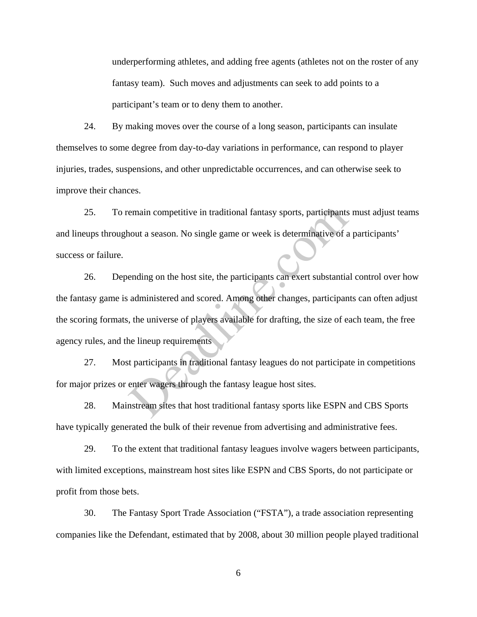underperforming athletes, and adding free agents (athletes not on the roster of any fantasy team). Such moves and adjustments can seek to add points to a participant's team or to deny them to another.

24. By making moves over the course of a long season, participants can insulate themselves to some degree from day-to-day variations in performance, can respond to player injuries, trades, suspensions, and other unpredictable occurrences, and can otherwise seek to improve their chances.

25. To remain competitive in traditional fantasy sports, participants must adjust teams and lineups throughout a season. No single game or week is determinative of a participants' success or failure.

26. Depending on the host site, the participants can exert substantial control over how the fantasy game is administered and scored. Among other changes, participants can often adjust the scoring formats, the universe of players available for drafting, the size of each team, the free agency rules, and the lineup requirements emain competitive in traditional fantasy sports, participants<br>
nout a season. No single game or week is determinative of a<br>
ending on the host site, the participants can exert substantia<br>
administered and scored. Among oth

27. Most participants in traditional fantasy leagues do not participate in competitions for major prizes or enter wagers through the fantasy league host sites.

28. Mainstream sites that host traditional fantasy sports like ESPN and CBS Sports have typically generated the bulk of their revenue from advertising and administrative fees.

29. To the extent that traditional fantasy leagues involve wagers between participants, with limited exceptions, mainstream host sites like ESPN and CBS Sports, do not participate or profit from those bets.

30. The Fantasy Sport Trade Association ("FSTA"), a trade association representing companies like the Defendant, estimated that by 2008, about 30 million people played traditional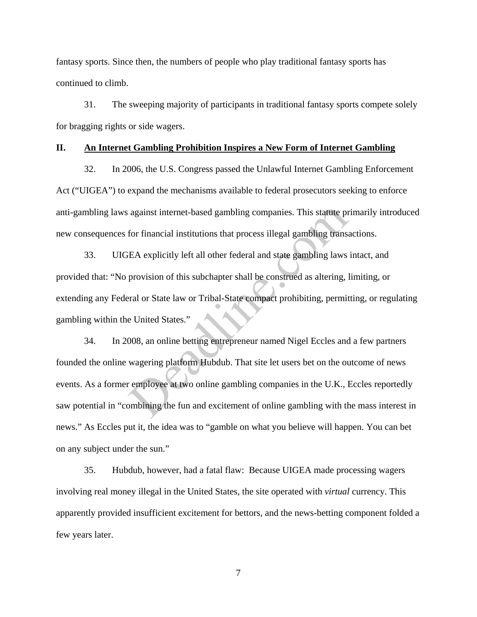fantasy sports. Since then, the numbers of people who play traditional fantasy sports has continued to climb.

31. The sweeping majority of participants in traditional fantasy sports compete solely for bragging rights or side wagers.

## **II. An Internet Gambling Prohibition Inspires a New Form of Internet Gambling**

32. In 2006, the U.S. Congress passed the Unlawful Internet Gambling Enforcement Act ("UIGEA") to expand the mechanisms available to federal prosecutors seeking to enforce anti-gambling laws against internet-based gambling companies. This statute primarily introduced new consequences for financial institutions that process illegal gambling transactions.

33. UIGEA explicitly left all other federal and state gambling laws intact, and provided that: "No provision of this subchapter shall be construed as altering, limiting, or extending any Federal or State law or Tribal-State compact prohibiting, permitting, or regulating gambling within the United States."

34. In 2008, an online betting entrepreneur named Nigel Eccles and a few partners founded the online wagering platform Hubdub. That site let users bet on the outcome of news events. As a former employee at two online gambling companies in the U.K., Eccles reportedly saw potential in "combining the fun and excitement of online gambling with the mass interest in news." As Eccles put it, the idea was to "gamble on what you believe will happen. You can bet on any subject under the sun." against internet-based gambling companies. This statute pr<br>for financial institutions that process illegal gambling transace<br>EA explicitly left all other federal and state gambling laws<br>provision of this subchapter shall b

35. Hubdub, however, had a fatal flaw: Because UIGEA made processing wagers involving real money illegal in the United States, the site operated with *virtual* currency. This apparently provided insufficient excitement for bettors, and the news-betting component folded a few years later.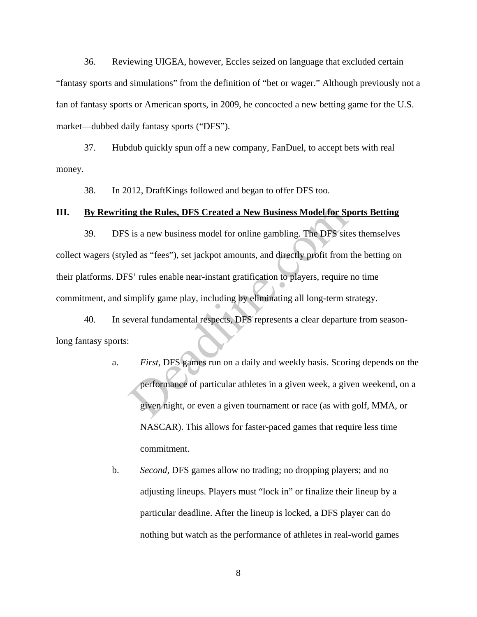36. Reviewing UIGEA, however, Eccles seized on language that excluded certain "fantasy sports and simulations" from the definition of "bet or wager." Although previously not a fan of fantasy sports or American sports, in 2009, he concocted a new betting game for the U.S. market—dubbed daily fantasy sports ("DFS").

37. Hubdub quickly spun off a new company, FanDuel, to accept bets with real money.

38. In 2012, DraftKings followed and began to offer DFS too.

### **III. By Rewriting the Rules, DFS Created a New Business Model for Sports Betting**

39. DFS is a new business model for online gambling. The DFS sites themselves collect wagers (styled as "fees"), set jackpot amounts, and directly profit from the betting on their platforms. DFS' rules enable near-instant gratification to players, require no time commitment, and simplify game play, including by eliminating all long-term strategy. **ng the Rules, DFS Created a New Business Model for Sp** is a new business model for online gambling. The DFS site das "fees"), set jackpot amounts, and directly profit from S' rules enable near-instant gratification to pla

40. In several fundamental respects, DFS represents a clear departure from seasonlong fantasy sports:

- a. *First,* DFS games run on a daily and weekly basis. Scoring depends on the performance of particular athletes in a given week, a given weekend, on a given night, or even a given tournament or race (as with golf, MMA, or NASCAR). This allows for faster-paced games that require less time commitment.
- b. *Second,* DFS games allow no trading; no dropping players; and no adjusting lineups. Players must "lock in" or finalize their lineup by a particular deadline. After the lineup is locked, a DFS player can do nothing but watch as the performance of athletes in real-world games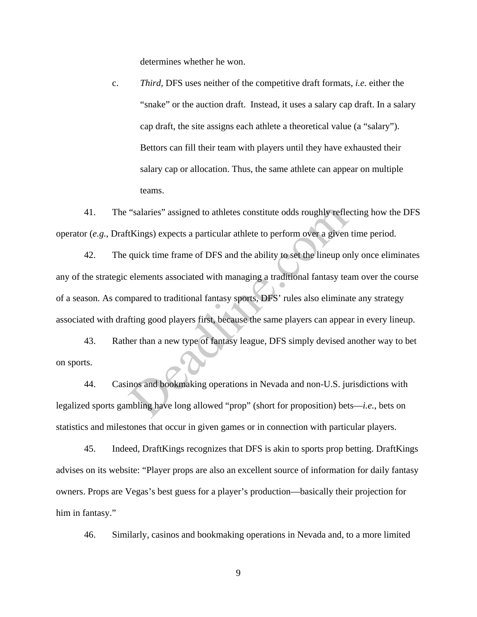determines whether he won.

c. *Third,* DFS uses neither of the competitive draft formats, *i.e.* either the "snake" or the auction draft. Instead, it uses a salary cap draft. In a salary cap draft, the site assigns each athlete a theoretical value (a "salary"). Bettors can fill their team with players until they have exhausted their salary cap or allocation. Thus, the same athlete can appear on multiple teams.

41. The "salaries" assigned to athletes constitute odds roughly reflecting how the DFS operator (*e.g.*, DraftKings) expects a particular athlete to perform over a given time period.

42. The quick time frame of DFS and the ability to set the lineup only once eliminates any of the strategic elements associated with managing a traditional fantasy team over the course of a season. As compared to traditional fantasy sports, DFS' rules also eliminate any strategy associated with drafting good players first, because the same players can appear in every lineup. "salaries" assigned to athletes constitute odds roughly reflet<br>Kings) expects a particular athlete to perform over a given<br>quick time frame of DFS and the ability to set the lineup or<br>elements associated with managing a tr

43. Rather than a new type of fantasy league, DFS simply devised another way to bet on sports.

44. Casinos and bookmaking operations in Nevada and non-U.S. jurisdictions with legalized sports gambling have long allowed "prop" (short for proposition) bets—*i.e.*, bets on statistics and milestones that occur in given games or in connection with particular players.

45. Indeed, DraftKings recognizes that DFS is akin to sports prop betting. DraftKings advises on its website: "Player props are also an excellent source of information for daily fantasy owners. Props are Vegas's best guess for a player's production—basically their projection for him in fantasy."

46. Similarly, casinos and bookmaking operations in Nevada and, to a more limited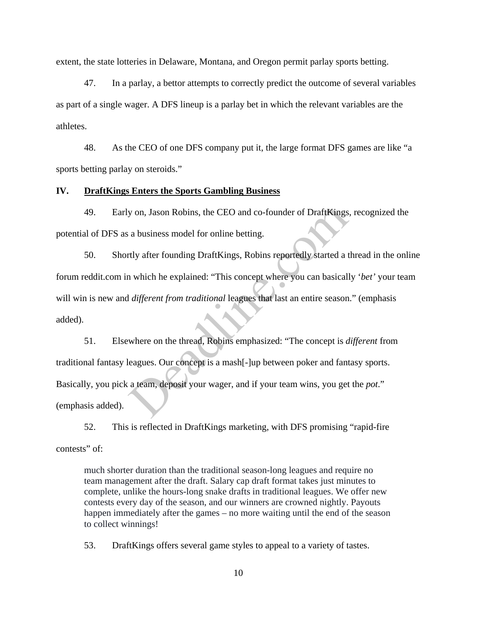extent, the state lotteries in Delaware, Montana, and Oregon permit parlay sports betting.

47. In a parlay, a bettor attempts to correctly predict the outcome of several variables as part of a single wager. A DFS lineup is a parlay bet in which the relevant variables are the athletes.

48. As the CEO of one DFS company put it, the large format DFS games are like "a sports betting parlay on steroids."

## **IV. DraftKings Enters the Sports Gambling Business**

49. Early on, Jason Robins, the CEO and co-founder of DraftKings, recognized the potential of DFS as a business model for online betting.

50. Shortly after founding DraftKings, Robins reportedly started a thread in the online forum reddit.com in which he explained: "This concept where you can basically '*bet'* your team will win is new and *different from traditional* leagues that last an entire season." (emphasis added).

51. Elsewhere on the thread, Robins emphasized: "The concept is *different* from traditional fantasy leagues. Our concept is a mash[-]up between poker and fantasy sports. Basically, you pick a team, deposit your wager, and if your team wins, you get the *pot*." (emphasis added). by on, Jason Robins, the CEO and co-founder of DraftKings<br>a business model for online betting.<br>rtly after founding DraftKings, Robins reportedly started a t<br>n which he explained: "This concept where you can basicall<br>differ

52. This is reflected in DraftKings marketing, with DFS promising "rapid-fire contests" of:

much shorter duration than the traditional season-long leagues and require no team management after the draft. Salary cap draft format takes just minutes to complete, unlike the hours-long snake drafts in traditional leagues. We offer new contests every day of the season, and our winners are crowned nightly. Payouts happen immediately after the games – no more waiting until the end of the season to collect winnings!

53. DraftKings offers several game styles to appeal to a variety of tastes.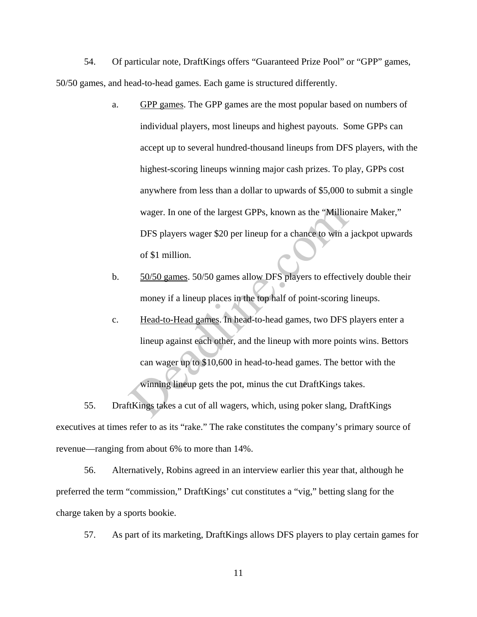54. Of particular note, DraftKings offers "Guaranteed Prize Pool" or "GPP" games, 50/50 games, and head-to-head games. Each game is structured differently.

- a. GPP games. The GPP games are the most popular based on numbers of individual players, most lineups and highest payouts. Some GPPs can accept up to several hundred-thousand lineups from DFS players, with the highest-scoring lineups winning major cash prizes. To play, GPPs cost anywhere from less than a dollar to upwards of \$5,000 to submit a single wager. In one of the largest GPPs, known as the "Millionaire Maker," DFS players wager \$20 per lineup for a chance to win a jackpot upwards of \$1 million.
- b. 50/50 games. 50/50 games allow DFS players to effectively double their money if a lineup places in the top half of point-scoring lineups.
- c. Head-to-Head games. In head-to-head games, two DFS players enter a lineup against each other, and the lineup with more points wins. Bettors can wager up to \$10,600 in head-to-head games. The bettor with the winning lineup gets the pot, minus the cut DraftKings takes. wager. In one of the largest GPPs, known as the "Millio<br>DFS players wager \$20 per lineup for a chance to win a<br>of \$1 million.<br><u>50/50 games</u>. 50/50 games allow DFS players to effectiv<br>money if a lineup places in the top hal

55. DraftKings takes a cut of all wagers, which, using poker slang, DraftKings executives at times refer to as its "rake." The rake constitutes the company's primary source of revenue—ranging from about 6% to more than 14%.

56. Alternatively, Robins agreed in an interview earlier this year that, although he preferred the term "commission," DraftKings' cut constitutes a "vig," betting slang for the charge taken by a sports bookie.

57. As part of its marketing, DraftKings allows DFS players to play certain games for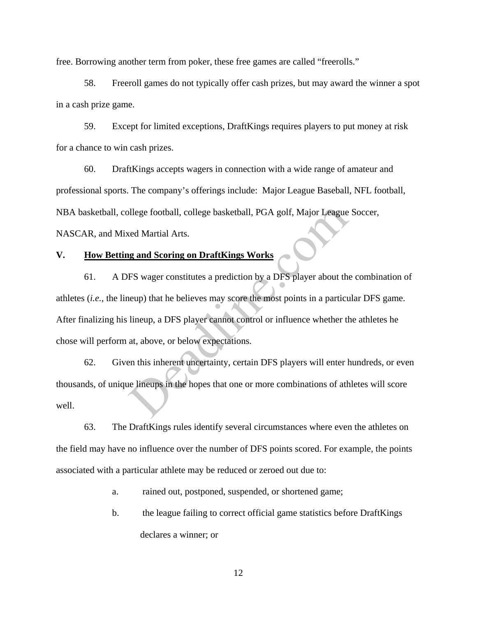free. Borrowing another term from poker, these free games are called "freerolls."

58. Freeroll games do not typically offer cash prizes, but may award the winner a spot in a cash prize game.

59. Except for limited exceptions, DraftKings requires players to put money at risk for a chance to win cash prizes.

60. DraftKings accepts wagers in connection with a wide range of amateur and professional sports. The company's offerings include: Major League Baseball, NFL football, NBA basketball, college football, college basketball, PGA golf, Major League Soccer, NASCAR, and Mixed Martial Arts.

# **V. How Betting and Scoring on DraftKings Works**

61. A DFS wager constitutes a prediction by a DFS player about the combination of athletes (*i.e.*, the lineup) that he believes may score the most points in a particular DFS game. After finalizing his lineup, a DFS player cannot control or influence whether the athletes he chose will perform at, above, or below expectations. ortholder and Scoring on DraftKings Works<br>
ES wager constitutes a prediction by a DFS player about the<br>
ES wager constitutes a prediction by a DFS player about the<br>
neup) that he believes may score the most points in a par

62. Given this inherent uncertainty, certain DFS players will enter hundreds, or even thousands, of unique lineups in the hopes that one or more combinations of athletes will score well.

63. The DraftKings rules identify several circumstances where even the athletes on the field may have no influence over the number of DFS points scored. For example, the points associated with a particular athlete may be reduced or zeroed out due to:

a. rained out, postponed, suspended, or shortened game;

b. the league failing to correct official game statistics before DraftKings declares a winner; or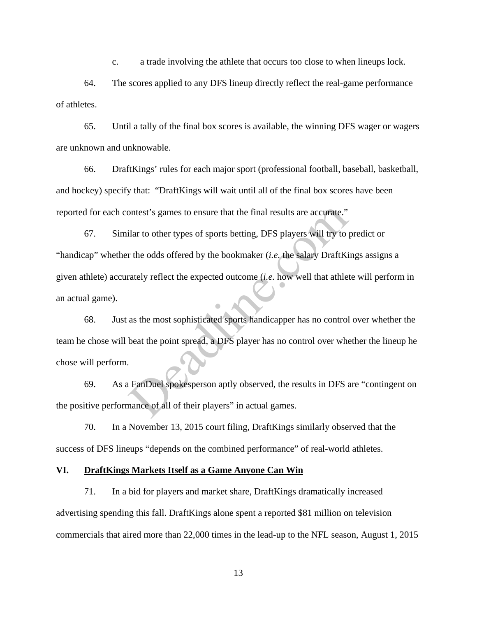c. a trade involving the athlete that occurs too close to when lineups lock.

64. The scores applied to any DFS lineup directly reflect the real-game performance of athletes.

65. Until a tally of the final box scores is available, the winning DFS wager or wagers are unknown and unknowable.

66. DraftKings' rules for each major sport (professional football, baseball, basketball, and hockey) specify that: "DraftKings will wait until all of the final box scores have been reported for each contest's games to ensure that the final results are accurate."

67. Similar to other types of sports betting, DFS players will try to predict or "handicap" whether the odds offered by the bookmaker (*i.e.* the salary DraftKings assigns a given athlete) accurately reflect the expected outcome (*i.e.* how well that athlete will perform in an actual game). ontest's games to ensure that the final results are accurate."<br>
ilar to other types of sports betting, DFS players will try to predict the odds offered by the bookmaker (*i.e.* the salary DraftKi<br>
rately reflect the expect

68. Just as the most sophisticated sports handicapper has no control over whether the team he chose will beat the point spread, a DFS player has no control over whether the lineup he chose will perform.

69. As a FanDuel spokesperson aptly observed, the results in DFS are "contingent on the positive performance of all of their players" in actual games.

70. In a November 13, 2015 court filing, DraftKings similarly observed that the success of DFS lineups "depends on the combined performance" of real-world athletes.

## **VI. DraftKings Markets Itself as a Game Anyone Can Win**

71. In a bid for players and market share, DraftKings dramatically increased advertising spending this fall. DraftKings alone spent a reported \$81 million on television commercials that aired more than 22,000 times in the lead-up to the NFL season, August 1, 2015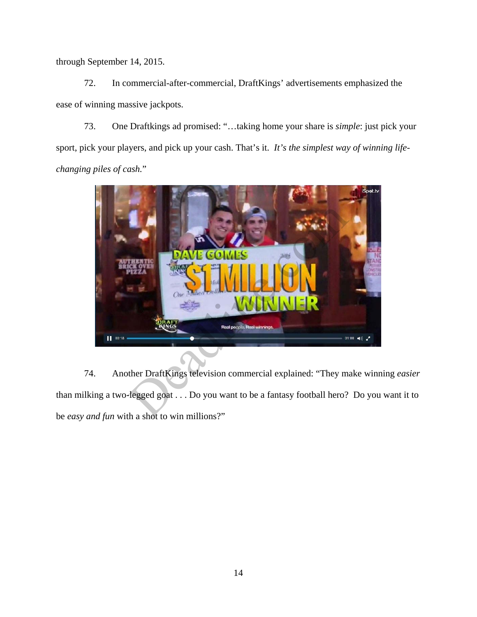through September 14, 2015.

72. In commercial-after-commercial, DraftKings' advertisements emphasized the ease of winning massive jackpots.

73. One Draftkings ad promised: "…taking home your share is *simple*: just pick your sport, pick your players, and pick up your cash. That's it. *It's the simplest way of winning lifechanging piles of cash.*"



74. Another DraftKings television commercial explained: "They make winning *easier* than milking a two-legged goat . . . Do you want to be a fantasy football hero? Do you want it to be *easy and fun* with a shot to win millions?"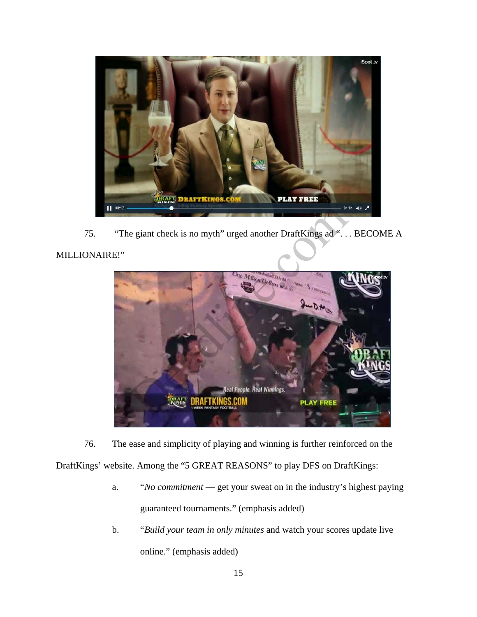

75. "The giant check is no myth" urged another DraftKings ad "... BECOME A

# MILLIONAIRE!"



76. The ease and simplicity of playing and winning is further reinforced on the

DraftKings' website. Among the "5 GREAT REASONS" to play DFS on DraftKings:

- a. "*No commitment*  get your sweat on in the industry's highest paying guaranteed tournaments." (emphasis added)
- b. "*Build your team in only minutes* and watch your scores update live online." (emphasis added)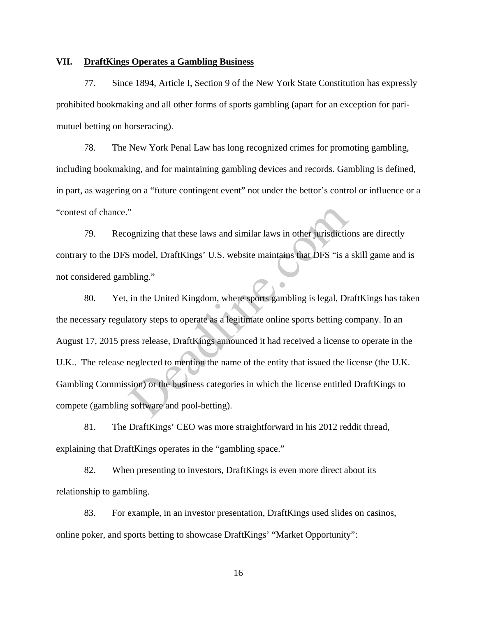## **VII. DraftKings Operates a Gambling Business**

77. Since 1894, Article I, Section 9 of the New York State Constitution has expressly prohibited bookmaking and all other forms of sports gambling (apart for an exception for parimutuel betting on horseracing).

78. The New York Penal Law has long recognized crimes for promoting gambling, including bookmaking, and for maintaining gambling devices and records. Gambling is defined, in part, as wagering on a "future contingent event" not under the bettor's control or influence or a "contest of chance."

79. Recognizing that these laws and similar laws in other jurisdictions are directly contrary to the DFS model, DraftKings' U.S. website maintains that DFS "is a skill game and is not considered gambling."

80. Yet, in the United Kingdom, where sports gambling is legal, DraftKings has taken the necessary regulatory steps to operate as a legitimate online sports betting company. In an August 17, 2015 press release, DraftKings announced it had received a license to operate in the U.K.. The release neglected to mention the name of the entity that issued the license (the U.K. Gambling Commission) or the business categories in which the license entitled DraftKings to compete (gambling software and pool-betting). wave the set of some set of the laws and similar laws in other jurisdictics<br>
Simodel, DraftKings' U.S. website maintains that DFS "is a<br>
bling."<br>
in the United Kingdom, where sports gambling is legal, Dr<br>
atory steps to op

81. The DraftKings' CEO was more straightforward in his 2012 reddit thread, explaining that DraftKings operates in the "gambling space."

82. When presenting to investors, DraftKings is even more direct about its relationship to gambling.

83. For example, in an investor presentation, DraftKings used slides on casinos, online poker, and sports betting to showcase DraftKings' "Market Opportunity":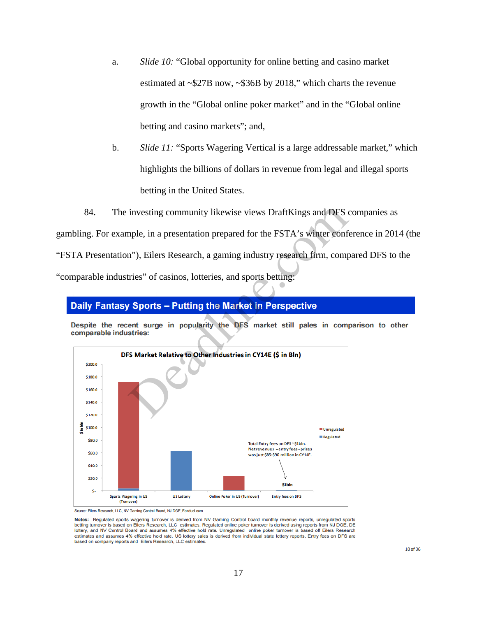- a. *Slide 10:* "Global opportunity for online betting and casino market estimated at ~\$27B now, ~\$36B by 2018," which charts the revenue growth in the "Global online poker market" and in the "Global online betting and casino markets"; and,
- b. *Slide 11:* "Sports Wagering Vertical is a large addressable market," which highlights the billions of dollars in revenue from legal and illegal sports betting in the United States.
- 84. The investing community likewise views DraftKings and DFS companies as

gambling. For example, in a presentation prepared for the FSTA's winter conference in 2014 (the "FSTA Presentation"), Eilers Research, a gaming industry research firm, compared DFS to the "comparable industries" of casinos, lotteries, and sports betting:



Source: Eilers Research, LLC, NV Gaming Control Board, NJ DGE, Fanduel.com

Notes: Regulated sports wagering turnover is derived from NV Gaming Control board monthly revenue reports, unregulated sports<br>betting turnover is based on Eilers Research, LLC estimates. Regulated online poker turnover is lottery, and NV Control Board and assumes 4% effective hold rate. Unregulated online poker turnover is based off Eilers Research estimates and assumes 4% effective hold rate. US lottery sales is derived from individual state lottery reports. Entry fees on DFS are based on company reports and Eilers Research, LLC estimates.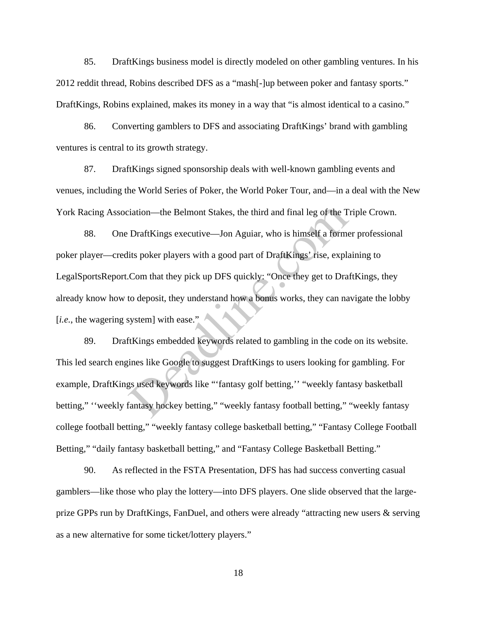85. DraftKings business model is directly modeled on other gambling ventures. In his 2012 reddit thread, Robins described DFS as a "mash[-]up between poker and fantasy sports." DraftKings, Robins explained, makes its money in a way that "is almost identical to a casino."

86. Converting gamblers to DFS and associating DraftKings' brand with gambling ventures is central to its growth strategy.

87. DraftKings signed sponsorship deals with well-known gambling events and venues, including the World Series of Poker, the World Poker Tour, and—in a deal with the New York Racing Association—the Belmont Stakes, the third and final leg of the Triple Crown.

88. One DraftKings executive—Jon Aguiar, who is himself a former professional poker player—credits poker players with a good part of DraftKings' rise, explaining to LegalSportsReport.Com that they pick up DFS quickly: "Once they get to DraftKings, they already know how to deposit, they understand how a bonus works, they can navigate the lobby [*i.e.*, the wagering system] with ease." iation—the Belmont Stakes, the third and final leg of the T<br>DraftKings executive—Jon Aguiar, who is himself a forme<br>its poker players with a good part of DraftKings' rise, expla<br>Com that they pick up DFS quickly: "Once the

89. DraftKings embedded keywords related to gambling in the code on its website. This led search engines like Google to suggest DraftKings to users looking for gambling. For example, DraftKings used keywords like "'fantasy golf betting,'' "weekly fantasy basketball betting," ''weekly fantasy hockey betting," "weekly fantasy football betting," "weekly fantasy college football betting," "weekly fantasy college basketball betting," "Fantasy College Football Betting," "daily fantasy basketball betting," and "Fantasy College Basketball Betting."

90. As reflected in the FSTA Presentation, DFS has had success converting casual gamblers—like those who play the lottery—into DFS players. One slide observed that the largeprize GPPs run by DraftKings, FanDuel, and others were already "attracting new users & serving as a new alternative for some ticket/lottery players."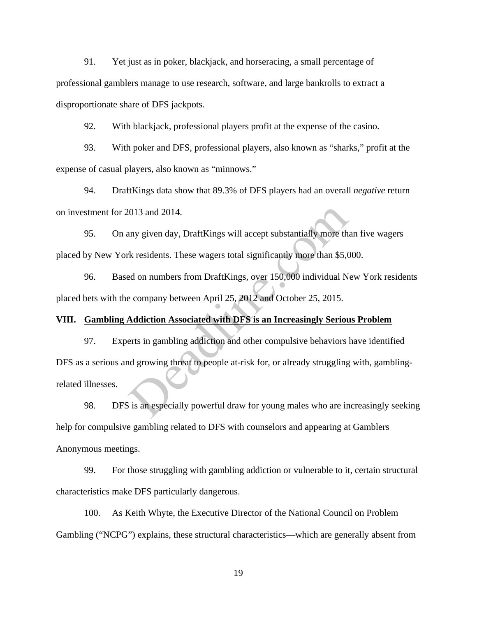91. Yet just as in poker, blackjack, and horseracing, a small percentage of professional gamblers manage to use research, software, and large bankrolls to extract a disproportionate share of DFS jackpots.

92. With blackjack, professional players profit at the expense of the casino.

93. With poker and DFS, professional players, also known as "sharks," profit at the expense of casual players, also known as "minnows."

94. DraftKings data show that 89.3% of DFS players had an overall *negative* return on investment for 2013 and 2014.

95. On any given day, DraftKings will accept substantially more than five wagers placed by New York residents. These wagers total significantly more than \$5,000.

96. Based on numbers from DraftKings, over 150,000 individual New York residents placed bets with the company between April 25, 2012 and October 25, 2015.

# **VIII. Gambling Addiction Associated with DFS is an Increasingly Serious Problem**

97. Experts in gambling addiction and other compulsive behaviors have identified DFS as a serious and growing threat to people at-risk for, or already struggling with, gamblingrelated illnesses. 2013 and 2014.<br>
2013 and 2014.<br>
2013 and 2014.<br>
2015 k residents. These wagers total significantly more than \$5,000<br>
2016 company between April 25, 2012 and October 25, 2015.<br>
2015 and October 25, 2015.<br>
2017 and October 2

98. DFS is an especially powerful draw for young males who are increasingly seeking help for compulsive gambling related to DFS with counselors and appearing at Gamblers Anonymous meetings.

99. For those struggling with gambling addiction or vulnerable to it, certain structural characteristics make DFS particularly dangerous.

100. As Keith Whyte, the Executive Director of the National Council on Problem Gambling ("NCPG") explains, these structural characteristics—which are generally absent from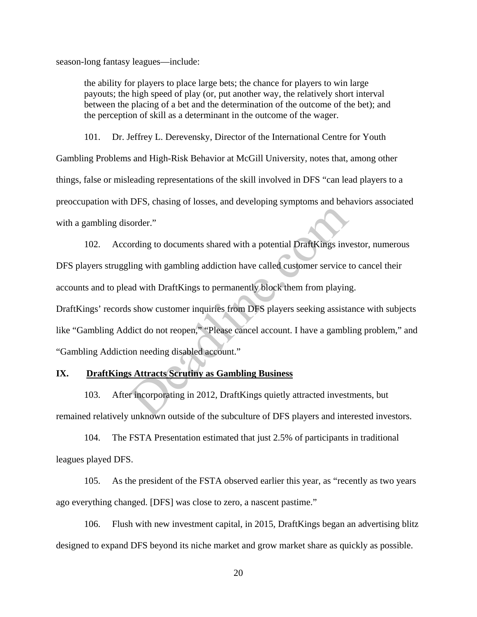season-long fantasy leagues—include:

the ability for players to place large bets; the chance for players to win large payouts; the high speed of play (or, put another way, the relatively short interval between the placing of a bet and the determination of the outcome of the bet); and the perception of skill as a determinant in the outcome of the wager.

101. Dr. Jeffrey L. Derevensky, Director of the International Centre for Youth Gambling Problems and High-Risk Behavior at McGill University, notes that, among other things, false or misleading representations of the skill involved in DFS "can lead players to a preoccupation with DFS, chasing of losses, and developing symptoms and behaviors associated with a gambling disorder."

102. According to documents shared with a potential DraftKings investor, numerous DFS players struggling with gambling addiction have called customer service to cancel their accounts and to plead with DraftKings to permanently block them from playing. sorder."<br>
Sorder."<br>
Sording to documents shared with a potential DraftKings inv<br>
ling with gambling addiction have called customer service<br>
ad with DraftKings to permanently block them from playin<br>
s show customer inquirie

DraftKings' records show customer inquiries from DFS players seeking assistance with subjects like "Gambling Addict do not reopen," "Please cancel account. I have a gambling problem," and "Gambling Addiction needing disabled account."

# **IX. DraftKings Attracts Scrutiny as Gambling Business**

103. After incorporating in 2012, DraftKings quietly attracted investments, but remained relatively unknown outside of the subculture of DFS players and interested investors.

104. The FSTA Presentation estimated that just 2.5% of participants in traditional leagues played DFS.

105. As the president of the FSTA observed earlier this year, as "recently as two years ago everything changed. [DFS] was close to zero, a nascent pastime."

106. Flush with new investment capital, in 2015, DraftKings began an advertising blitz designed to expand DFS beyond its niche market and grow market share as quickly as possible.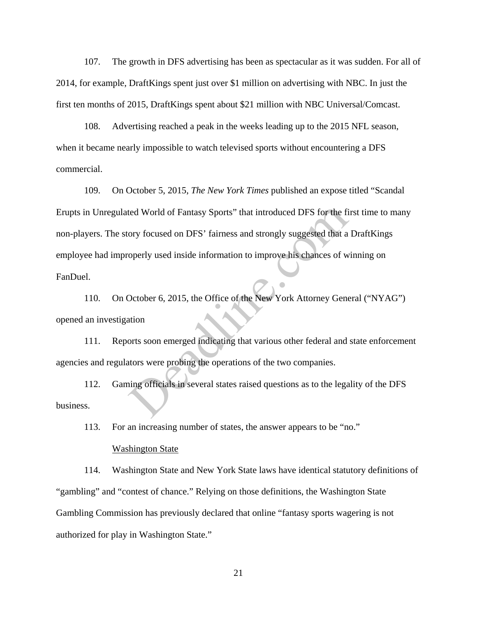107. The growth in DFS advertising has been as spectacular as it was sudden. For all of 2014, for example, DraftKings spent just over \$1 million on advertising with NBC. In just the first ten months of 2015, DraftKings spent about \$21 million with NBC Universal/Comcast.

108. Advertising reached a peak in the weeks leading up to the 2015 NFL season, when it became nearly impossible to watch televised sports without encountering a DFS commercial.

109. On October 5, 2015, *The New York Times* published an expose titled "Scandal Erupts in Unregulated World of Fantasy Sports" that introduced DFS for the first time to many non-players. The story focused on DFS' fairness and strongly suggested that a DraftKings employee had improperly used inside information to improve his chances of winning on FanDuel. ted World of Fantasy Sports" that introduced DFS for the five ory focused on DFS' fairness and strongly suggested that a operly used inside information to improve his chances of w<br>October 6, 2015, the Office of the New Yor

110. On October 6, 2015, the Office of the New York Attorney General ("NYAG") opened an investigation

111. Reports soon emerged indicating that various other federal and state enforcement agencies and regulators were probing the operations of the two companies.

112. Gaming officials in several states raised questions as to the legality of the DFS business.

113. For an increasing number of states, the answer appears to be "no."

#### Washington State

114. Washington State and New York State laws have identical statutory definitions of "gambling" and "contest of chance." Relying on those definitions, the Washington State Gambling Commission has previously declared that online "fantasy sports wagering is not authorized for play in Washington State."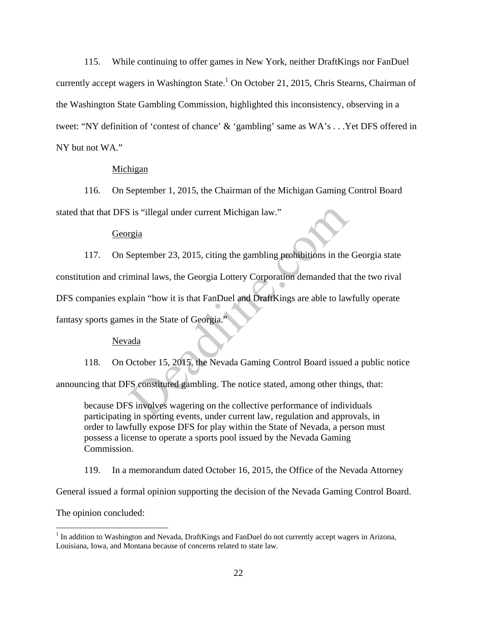115. While continuing to offer games in New York, neither DraftKings nor FanDuel currently accept wagers in Washington State.<sup>1</sup> On October 21, 2015, Chris Stearns, Chairman of the Washington State Gambling Commission, highlighted this inconsistency, observing in a tweet: "NY definition of 'contest of chance' & 'gambling' same as WA's . . .Yet DFS offered in NY but not WA."

## Michigan

116. On September 1, 2015, the Chairman of the Michigan Gaming Control Board stated that that DFS is "illegal under current Michigan law."

### Georgia

117. On September 23, 2015, citing the gambling prohibitions in the Georgia state constitution and criminal laws, the Georgia Lottery Corporation demanded that the two rival DFS companies explain "how it is that FanDuel and DraftKings are able to lawfully operate fantasy sports games in the State of Georgia." S is "illegal under current Michigan law."<br>
September 23, 2015, citing the gambling prohibitions in the<br>
minal laws, the Georgia Lottery Corporation demanded tha<br>
plain "how it is that FanDuel and DraftKings are able to la

## Nevada

118. On October 15, 2015, the Nevada Gaming Control Board issued a public notice announcing that DFS constituted gambling. The notice stated, among other things, that:

because DFS involves wagering on the collective performance of individuals participating in sporting events, under current law, regulation and approvals, in order to lawfully expose DFS for play within the State of Nevada, a person must possess a license to operate a sports pool issued by the Nevada Gaming Commission.

119. In a memorandum dated October 16, 2015, the Office of the Nevada Attorney

General issued a formal opinion supporting the decision of the Nevada Gaming Control Board.

The opinion concluded:

 $\overline{a}$ 

<sup>&</sup>lt;sup>1</sup> In addition to Washington and Nevada, DraftKings and FanDuel do not currently accept wagers in Arizona, Louisiana, Iowa, and Montana because of concerns related to state law*.*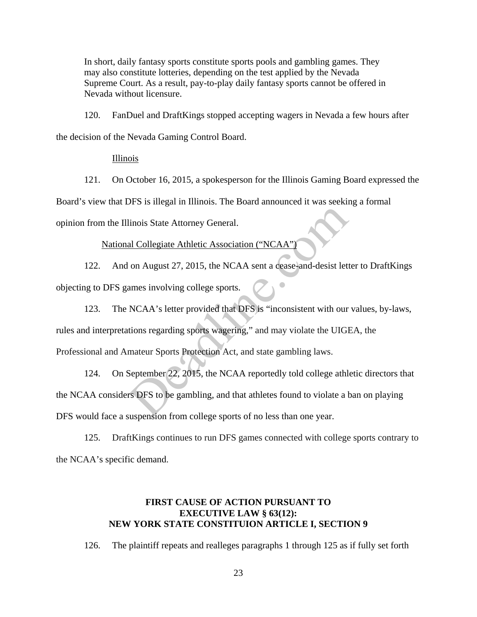In short, daily fantasy sports constitute sports pools and gambling games. They may also constitute lotteries, depending on the test applied by the Nevada Supreme Court. As a result, pay-to-play daily fantasy sports cannot be offered in Nevada without licensure.

120. FanDuel and DraftKings stopped accepting wagers in Nevada a few hours after the decision of the Nevada Gaming Control Board.

Illinois

121. On October 16, 2015, a spokesperson for the Illinois Gaming Board expressed the Board's view that DFS is illegal in Illinois. The Board announced it was seeking a formal opinion from the Illinois State Attorney General.

National Collegiate Athletic Association ("NCAA")

122. And on August 27, 2015, the NCAA sent a cease-and-desist letter to DraftKings objecting to DFS games involving college sports.

123. The NCAA's letter provided that DFS is "inconsistent with our values, by-laws, rules and interpretations regarding sports wagering," and may violate the UIGEA, the Professional and Amateur Sports Protection Act, and state gambling laws. linois State Attorney General.<br>
al Collegiate Athletic Association ("NCAA")<br>
on August 27, 2015, the NCAA sent a cease-and-desist lett<br>
ames involving college sports.<br>
NCAA's letter provided that DFS is "inconsistent with

124. On September 22, 2015, the NCAA reportedly told college athletic directors that the NCAA considers DFS to be gambling, and that athletes found to violate a ban on playing DFS would face a suspension from college sports of no less than one year.

125. DraftKings continues to run DFS games connected with college sports contrary to the NCAA's specific demand.

# **FIRST CAUSE OF ACTION PURSUANT TO EXECUTIVE LAW § 63(12): NEW YORK STATE CONSTITUION ARTICLE I, SECTION 9**

126. The plaintiff repeats and realleges paragraphs 1 through 125 as if fully set forth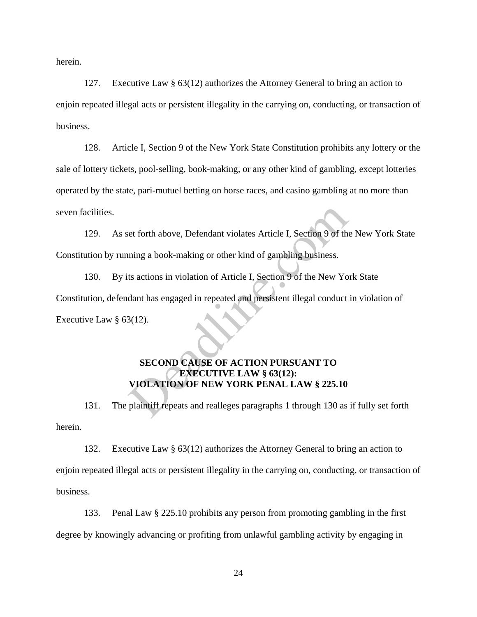herein.

127. Executive Law § 63(12) authorizes the Attorney General to bring an action to enjoin repeated illegal acts or persistent illegality in the carrying on, conducting, or transaction of business.

128. Article I, Section 9 of the New York State Constitution prohibits any lottery or the sale of lottery tickets, pool-selling, book-making, or any other kind of gambling, except lotteries operated by the state, pari-mutuel betting on horse races, and casino gambling at no more than seven facilities.

129. As set forth above, Defendant violates Article I, Section 9 of the New York State Constitution by running a book-making or other kind of gambling business.

130. By its actions in violation of Article I, Section 9 of the New York State Constitution, defendant has engaged in repeated and persistent illegal conduct in violation of Executive Law § 63(12). et forth above, Defendant violates Article I, Section 9 of the<br>ning a book-making or other kind of gambling business.<br>ts actions in violation of Article I, Section 9 of the New Yo<br>dant has engaged in repeated and persisten

# **SECOND CAUSE OF ACTION PURSUANT TO EXECUTIVE LAW § 63(12): VIOLATION OF NEW YORK PENAL LAW § 225.10**

131. The plaintiff repeats and realleges paragraphs 1 through 130 as if fully set forth herein.

132. Executive Law § 63(12) authorizes the Attorney General to bring an action to enjoin repeated illegal acts or persistent illegality in the carrying on, conducting, or transaction of business.

133. Penal Law § 225.10 prohibits any person from promoting gambling in the first degree by knowingly advancing or profiting from unlawful gambling activity by engaging in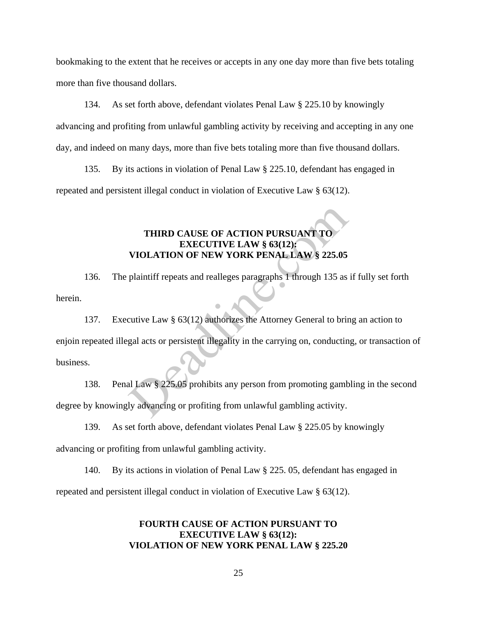bookmaking to the extent that he receives or accepts in any one day more than five bets totaling more than five thousand dollars.

134. As set forth above, defendant violates Penal Law § 225.10 by knowingly advancing and profiting from unlawful gambling activity by receiving and accepting in any one day, and indeed on many days, more than five bets totaling more than five thousand dollars.

135. By its actions in violation of Penal Law § 225.10, defendant has engaged in repeated and persistent illegal conduct in violation of Executive Law § 63(12).

# **THIRD CAUSE OF ACTION PURSUANT TO EXECUTIVE LAW § 63(12): VIOLATION OF NEW YORK PENAL LAW § 225.05**

136. The plaintiff repeats and realleges paragraphs 1 through 135 as if fully set forth herein.

137. Executive Law § 63(12) authorizes the Attorney General to bring an action to enjoin repeated illegal acts or persistent illegality in the carrying on, conducting, or transaction of business. THIRD CAUSE OF ACTION PURSUANT TO<br>EXECUTIVE LAW § 63(12):<br>VIOLATION OF NEW YORK PENAL LAW § 225.05<br>plaintiff repeats and realleges paragraphs 1 through 135 as<br>cutive Law § 63(12) authorizes the Attorney General to brir<br>gal

138. Penal Law § 225.05 prohibits any person from promoting gambling in the second degree by knowingly advancing or profiting from unlawful gambling activity.

139. As set forth above, defendant violates Penal Law § 225.05 by knowingly advancing or profiting from unlawful gambling activity.

140. By its actions in violation of Penal Law § 225. 05, defendant has engaged in repeated and persistent illegal conduct in violation of Executive Law § 63(12).

# **FOURTH CAUSE OF ACTION PURSUANT TO EXECUTIVE LAW § 63(12): VIOLATION OF NEW YORK PENAL LAW § 225.20**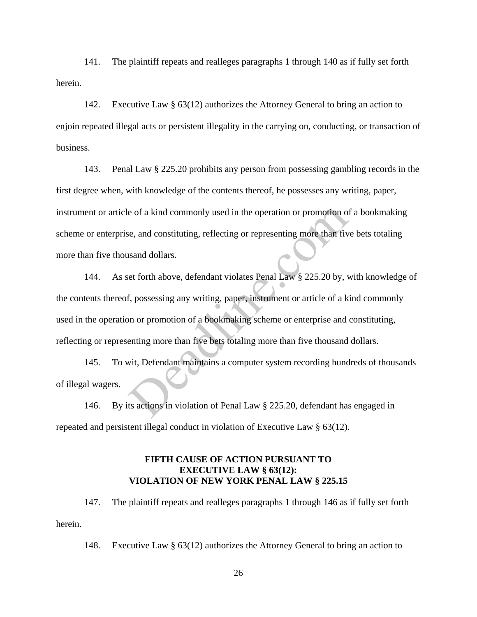141. The plaintiff repeats and realleges paragraphs 1 through 140 as if fully set forth herein.

142. Executive Law § 63(12) authorizes the Attorney General to bring an action to enjoin repeated illegal acts or persistent illegality in the carrying on, conducting, or transaction of business.

143. Penal Law § 225.20 prohibits any person from possessing gambling records in the first degree when, with knowledge of the contents thereof, he possesses any writing, paper, instrument or article of a kind commonly used in the operation or promotion of a bookmaking scheme or enterprise, and constituting, reflecting or representing more than five bets totaling more than five thousand dollars.

144. As set forth above, defendant violates Penal Law § 225.20 by, with knowledge of the contents thereof, possessing any writing, paper, instrument or article of a kind commonly used in the operation or promotion of a bookmaking scheme or enterprise and constituting, reflecting or representing more than five bets totaling more than five thousand dollars. e, and constituting, reflecting or representing more than five<br>se, and constituting, reflecting or representing more than five<br>sand dollars.<br>et forth above, defendant violates Penal Law § 225.20 by, v<br>f, possessing any wri

145. To wit, Defendant maintains a computer system recording hundreds of thousands of illegal wagers.

146. By its actions in violation of Penal Law § 225.20, defendant has engaged in repeated and persistent illegal conduct in violation of Executive Law § 63(12).

# **FIFTH CAUSE OF ACTION PURSUANT TO EXECUTIVE LAW § 63(12): VIOLATION OF NEW YORK PENAL LAW § 225.15**

147. The plaintiff repeats and realleges paragraphs 1 through 146 as if fully set forth herein.

148. Executive Law § 63(12) authorizes the Attorney General to bring an action to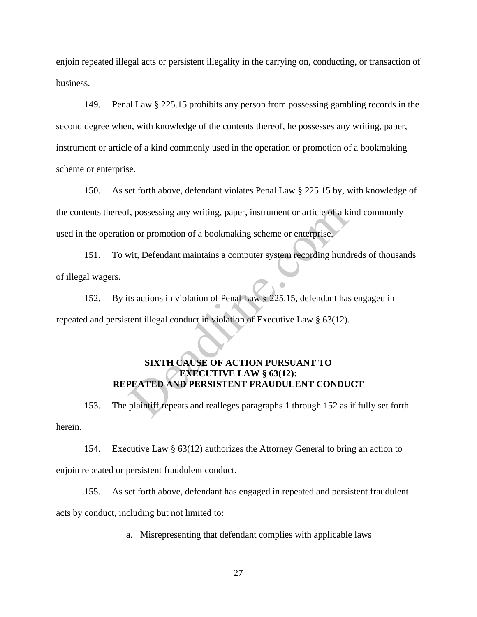enjoin repeated illegal acts or persistent illegality in the carrying on, conducting, or transaction of business.

149. Penal Law § 225.15 prohibits any person from possessing gambling records in the second degree when, with knowledge of the contents thereof, he possesses any writing, paper, instrument or article of a kind commonly used in the operation or promotion of a bookmaking scheme or enterprise.

150. As set forth above, defendant violates Penal Law § 225.15 by, with knowledge of the contents thereof, possessing any writing, paper, instrument or article of a kind commonly used in the operation or promotion of a bookmaking scheme or enterprise. f, possessing any writing, paper, instrument or article of a k<br>n or promotion of a bookmaking scheme or enterprise.<br>vit, Defendant maintains a computer system recording hund<br>ts actions in violation of Penal Law § 225.15, d

151. To wit, Defendant maintains a computer system recording hundreds of thousands of illegal wagers.

152. By its actions in violation of Penal Law § 225.15, defendant has engaged in repeated and persistent illegal conduct in violation of Executive Law § 63(12).

# **SIXTH CAUSE OF ACTION PURSUANT TO EXECUTIVE LAW § 63(12): REPEATED AND PERSISTENT FRAUDULENT CONDUCT**

153. The plaintiff repeats and realleges paragraphs 1 through 152 as if fully set forth herein.

154. Executive Law § 63(12) authorizes the Attorney General to bring an action to enjoin repeated or persistent fraudulent conduct.

155. As set forth above, defendant has engaged in repeated and persistent fraudulent acts by conduct, including but not limited to:

a. Misrepresenting that defendant complies with applicable laws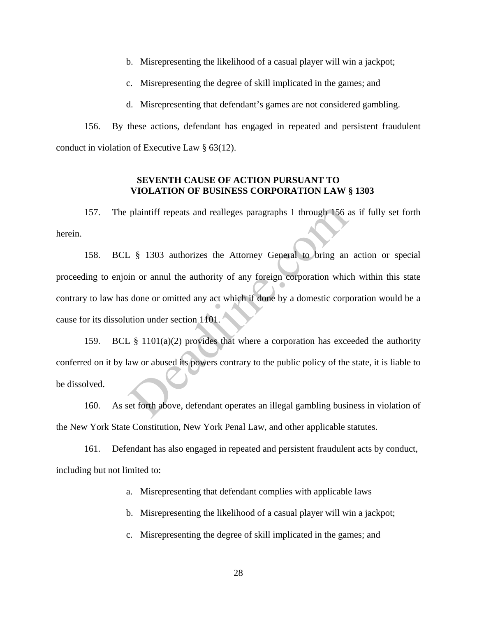b. Misrepresenting the likelihood of a casual player will win a jackpot;

c. Misrepresenting the degree of skill implicated in the games; and

d. Misrepresenting that defendant's games are not considered gambling.

156. By these actions, defendant has engaged in repeated and persistent fraudulent conduct in violation of Executive Law § 63(12).

# **SEVENTH CAUSE OF ACTION PURSUANT TO VIOLATION OF BUSINESS CORPORATION LAW § 1303**

157. The plaintiff repeats and realleges paragraphs 1 through 156 as if fully set forth herein.

158. BCL § 1303 authorizes the Attorney General to bring an action or special proceeding to enjoin or annul the authority of any foreign corporation which within this state contrary to law has done or omitted any act which if done by a domestic corporation would be a cause for its dissolution under section 1101. plaintiff repeats and realleges paragraphs 1 through 156 a<br>
S 1303 authorizes the Attorney General to bring and<br>
in or annul the authority of any foreign corporation which<br>
done or omitted any act which if done by a domest

159. BCL § 1101(a)(2) provides that where a corporation has exceeded the authority conferred on it by law or abused its powers contrary to the public policy of the state, it is liable to be dissolved.

160. As set forth above, defendant operates an illegal gambling business in violation of the New York State Constitution, New York Penal Law, and other applicable statutes.

161. Defendant has also engaged in repeated and persistent fraudulent acts by conduct, including but not limited to:

a. Misrepresenting that defendant complies with applicable laws

b. Misrepresenting the likelihood of a casual player will win a jackpot;

c. Misrepresenting the degree of skill implicated in the games; and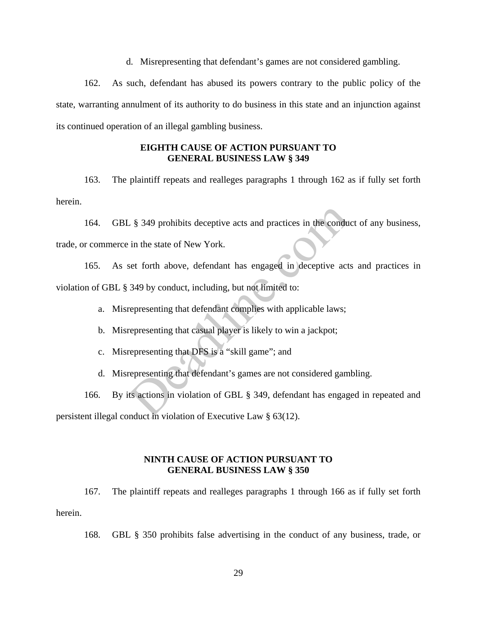d. Misrepresenting that defendant's games are not considered gambling.

162. As such, defendant has abused its powers contrary to the public policy of the state, warranting annulment of its authority to do business in this state and an injunction against its continued operation of an illegal gambling business.

# **EIGHTH CAUSE OF ACTION PURSUANT TO GENERAL BUSINESS LAW § 349**

163. The plaintiff repeats and realleges paragraphs 1 through 162 as if fully set forth herein.

164. GBL § 349 prohibits deceptive acts and practices in the conduct of any business, trade, or commerce in the state of New York.

165. As set forth above, defendant has engaged in deceptive acts and practices in violation of GBL § 349 by conduct, including, but not limited to:  $\sqrt{2}$  \$ 349 prohibits deceptive acts and practices in the condurin the state of New York.<br>
set forth above, defendant has engaged in deceptive act 349 by conduct, including, but not limited to:<br>
representing that defend

a. Misrepresenting that defendant complies with applicable laws;

b. Misrepresenting that casual player is likely to win a jackpot;

c. Misrepresenting that DFS is a "skill game"; and

d. Misrepresenting that defendant's games are not considered gambling.

166. By its actions in violation of GBL § 349, defendant has engaged in repeated and persistent illegal conduct in violation of Executive Law § 63(12).

# **NINTH CAUSE OF ACTION PURSUANT TO GENERAL BUSINESS LAW § 350**

167. The plaintiff repeats and realleges paragraphs 1 through 166 as if fully set forth herein.

168. GBL § 350 prohibits false advertising in the conduct of any business, trade, or